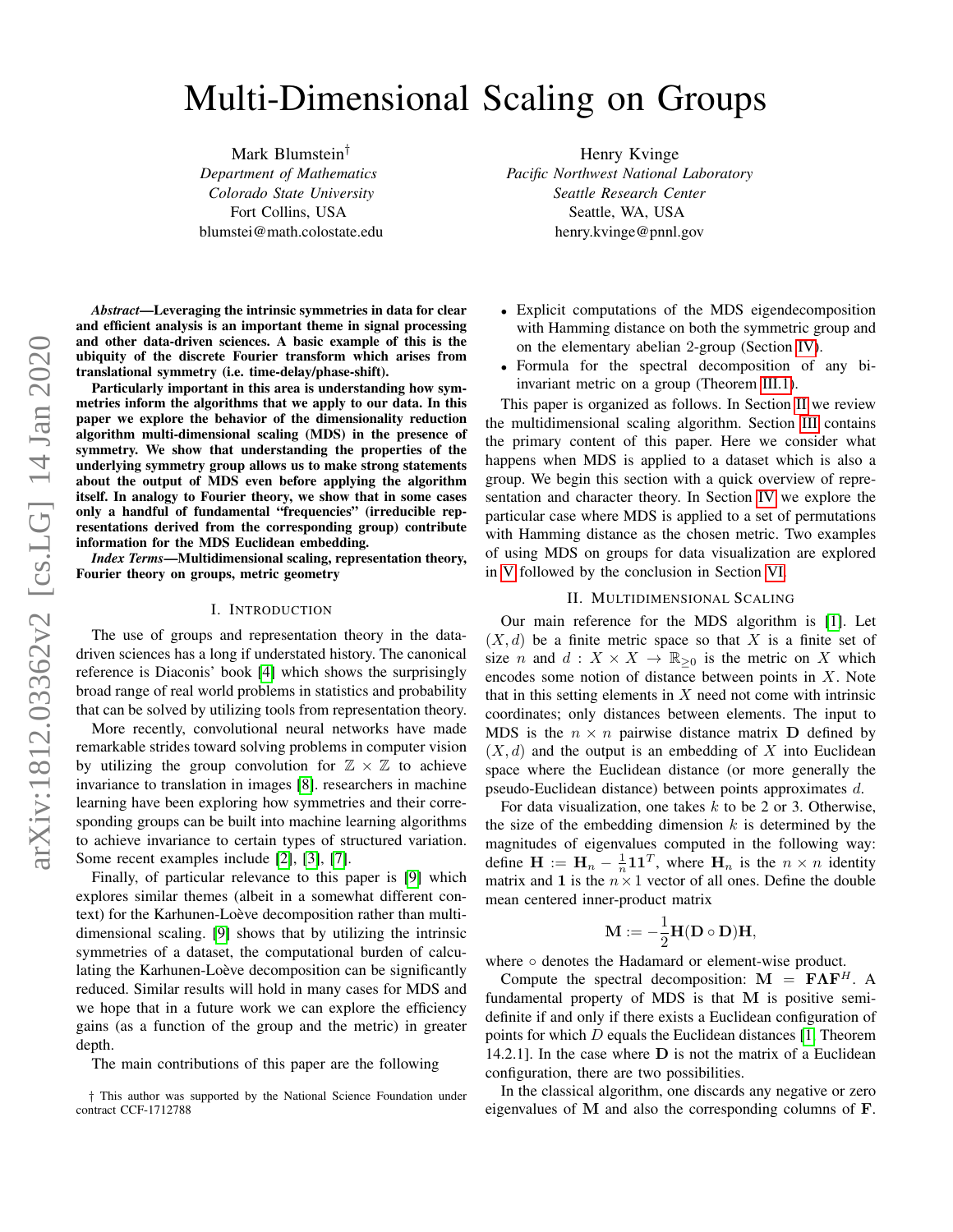# Multi-Dimensional Scaling on Groups

Mark Blumstein† *Department of Mathematics Colorado State University* Fort Collins, USA blumstei@math.colostate.edu

*Abstract*—Leveraging the intrinsic symmetries in data for clear and efficient analysis is an important theme in signal processing and other data-driven sciences. A basic example of this is the ubiquity of the discrete Fourier transform which arises from translational symmetry (i.e. time-delay/phase-shift).

Particularly important in this area is understanding how symmetries inform the algorithms that we apply to our data. In this paper we explore the behavior of the dimensionality reduction algorithm multi-dimensional scaling (MDS) in the presence of symmetry. We show that understanding the properties of the underlying symmetry group allows us to make strong statements about the output of MDS even before applying the algorithm itself. In analogy to Fourier theory, we show that in some cases only a handful of fundamental "frequencies" (irreducible representations derived from the corresponding group) contribute information for the MDS Euclidean embedding.

*Index Terms*—Multidimensional scaling, representation theory, Fourier theory on groups, metric geometry

## I. INTRODUCTION

The use of groups and representation theory in the datadriven sciences has a long if understated history. The canonical reference is Diaconis' book [\[4\]](#page-4-0) which shows the surprisingly broad range of real world problems in statistics and probability that can be solved by utilizing tools from representation theory.

More recently, convolutional neural networks have made remarkable strides toward solving problems in computer vision by utilizing the group convolution for  $\mathbb{Z} \times \mathbb{Z}$  to achieve invariance to translation in images [\[8\]](#page-4-1). researchers in machine learning have been exploring how symmetries and their corresponding groups can be built into machine learning algorithms to achieve invariance to certain types of structured variation. Some recent examples include [\[2\]](#page-4-2), [\[3\]](#page-4-3), [\[7\]](#page-4-4).

Finally, of particular relevance to this paper is [\[9\]](#page-4-5) which explores similar themes (albeit in a somewhat different context) for the Karhunen-Loève decomposition rather than multidimensional scaling. [\[9\]](#page-4-5) shows that by utilizing the intrinsic symmetries of a dataset, the computational burden of calculating the Karhunen-Loève decomposition can be significantly reduced. Similar results will hold in many cases for MDS and we hope that in a future work we can explore the efficiency gains (as a function of the group and the metric) in greater depth.

The main contributions of this paper are the following

Henry Kvinge *Pacific Northwest National Laboratory Seattle Research Center* Seattle, WA, USA henry.kvinge@pnnl.gov

- Explicit computations of the MDS eigendecomposition with Hamming distance on both the symmetric group and on the elementary abelian 2-group (Section [IV\)](#page-2-0).
- Formula for the spectral decomposition of any biinvariant metric on a group (Theorem [III.1\)](#page-2-1).

This paper is organized as follows. In Section [II](#page-0-0) we review the multidimensional scaling algorithm. Section [III](#page-1-0) contains the primary content of this paper. Here we consider what happens when MDS is applied to a dataset which is also a group. We begin this section with a quick overview of representation and character theory. In Section [IV](#page-2-0) we explore the particular case where MDS is applied to a set of permutations with Hamming distance as the chosen metric. Two examples of using MDS on groups for data visualization are explored in [V](#page-3-0) followed by the conclusion in Section [VI.](#page-4-6)

### II. MULTIDIMENSIONAL SCALING

<span id="page-0-0"></span>Our main reference for the MDS algorithm is [\[1\]](#page-4-7). Let  $(X, d)$  be a finite metric space so that X is a finite set of size n and  $d : X \times X \to \mathbb{R}_{\geq 0}$  is the metric on X which encodes some notion of distance between points in X. Note that in this setting elements in  $X$  need not come with intrinsic coordinates; only distances between elements. The input to MDS is the  $n \times n$  pairwise distance matrix **D** defined by  $(X, d)$  and the output is an embedding of X into Euclidean space where the Euclidean distance (or more generally the pseudo-Euclidean distance) between points approximates d.

For data visualization, one takes  $k$  to be 2 or 3. Otherwise, the size of the embedding dimension  $k$  is determined by the magnitudes of eigenvalues computed in the following way: define  $\mathbf{H} := \mathbf{H}_n - \frac{1}{n} \mathbf{1} \mathbf{1}^T$ , where  $\mathbf{H}_n$  is the  $n \times n$  identity matrix and 1 is the  $n \times 1$  vector of all ones. Define the double mean centered inner-product matrix

$$
\mathbf{M} := -\frac{1}{2} \mathbf{H}(\mathbf{D} \circ \mathbf{D}) \mathbf{H},
$$

where ∘ denotes the Hadamard or element-wise product.

Compute the spectral decomposition:  $M = F\Lambda F^{H}$ . A fundamental property of MDS is that M is positive semidefinite if and only if there exists a Euclidean configuration of points for which  $D$  equals the Euclidean distances [\[1,](#page-4-7) Theorem 14.2.1]. In the case where D is not the matrix of a Euclidean configuration, there are two possibilities.

In the classical algorithm, one discards any negative or zero eigenvalues of M and also the corresponding columns of F.

<sup>†</sup> This author was supported by the National Science Foundation under contract CCF-1712788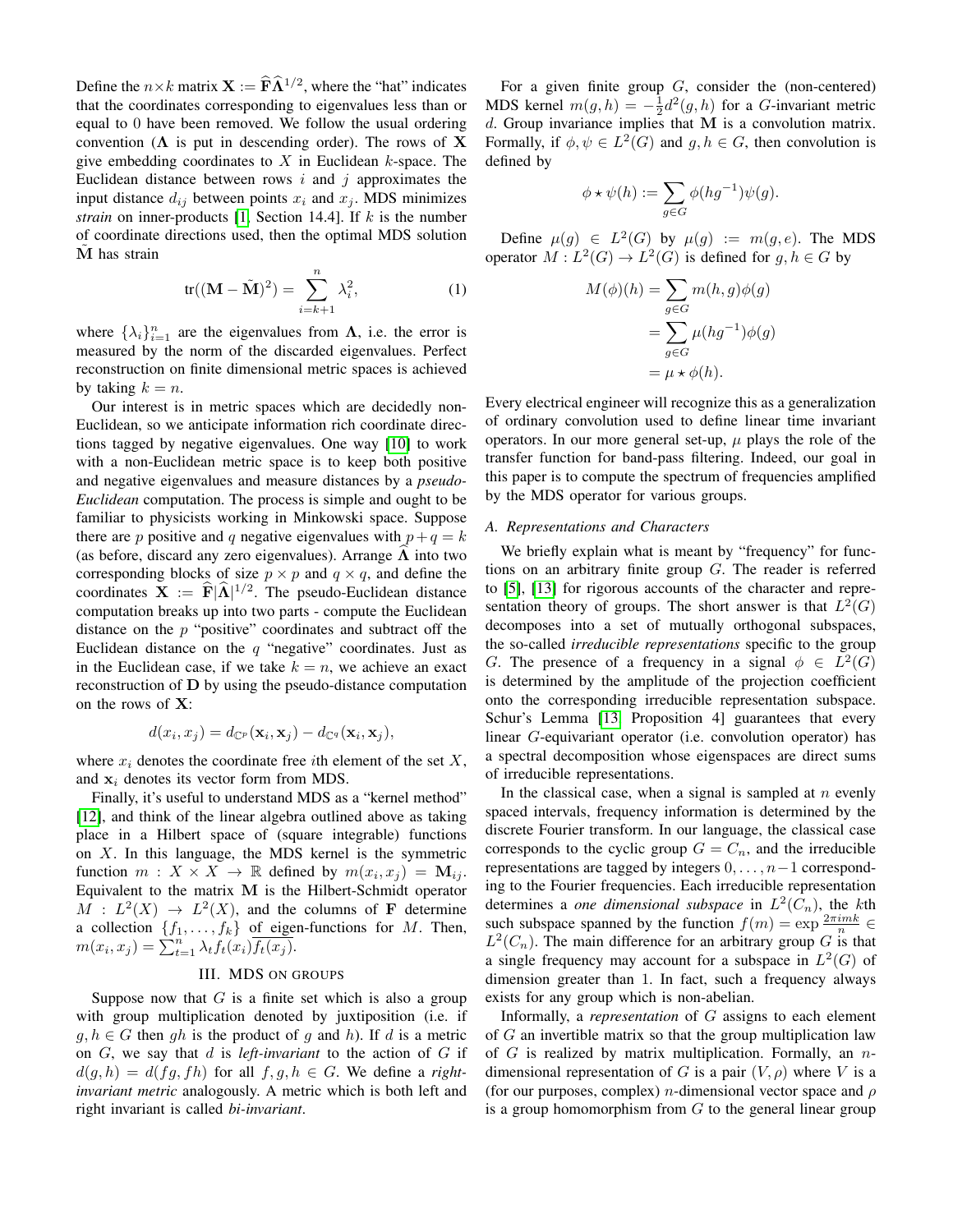Define the  $n \times k$  matrix  $\mathbf{X} := \widehat{\mathbf{F}} \widehat{\mathbf{\Lambda}}^{1/2}$ , where the "hat" indicates that the coordinates corresponding to eigenvalues less than or equal to 0 have been removed. We follow the usual ordering convention ( $\Lambda$  is put in descending order). The rows of X give embedding coordinates to  $X$  in Euclidean  $k$ -space. The Euclidean distance between rows  $i$  and  $j$  approximates the input distance  $d_{ij}$  between points  $x_i$  and  $x_j$ . MDS minimizes *strain* on inner-products [\[1,](#page-4-7) Section 14.4]. If k is the number of coordinate directions used, then the optimal MDS solution M has strain

<span id="page-1-1"></span>
$$
\operatorname{tr}((\mathbf{M} - \tilde{\mathbf{M}})^2) = \sum_{i=k+1}^n \lambda_i^2,\tag{1}
$$

where  $\{\lambda_i\}_{i=1}^n$  are the eigenvalues from  $\Lambda$ , i.e. the error is measured by the norm of the discarded eigenvalues. Perfect reconstruction on finite dimensional metric spaces is achieved by taking  $k = n$ .

Our interest is in metric spaces which are decidedly non-Euclidean, so we anticipate information rich coordinate directions tagged by negative eigenvalues. One way [\[10\]](#page-4-8) to work with a non-Euclidean metric space is to keep both positive and negative eigenvalues and measure distances by a *pseudo-Euclidean* computation. The process is simple and ought to be familiar to physicists working in Minkowski space. Suppose there are p positive and q negative eigenvalues with  $p+q = k$ (as before, discard any zero eigenvalues). Arrange  $\Lambda$  into two corresponding blocks of size  $p \times p$  and  $q \times q$ , and define the coordinates  $X := \widehat{F}|\widehat{\Lambda}|^{1/2}$ . The pseudo-Euclidean distance computation breaks up into two parts - compute the Euclidean distance on the  $p$  "positive" coordinates and subtract off the Euclidean distance on the  $q$  "negative" coordinates. Just as in the Euclidean case, if we take  $k = n$ , we achieve an exact reconstruction of D by using the pseudo-distance computation on the rows of X:

$$
d(x_i, x_j) = d_{\mathbb{C}^p}(\mathbf{x}_i, \mathbf{x}_j) - d_{\mathbb{C}^q}(\mathbf{x}_i, \mathbf{x}_j),
$$

where  $x_i$  denotes the coordinate free *i*th element of the set  $X$ , and  $x_i$  denotes its vector form from MDS.

Finally, it's useful to understand MDS as a "kernel method" [\[12\]](#page-5-0), and think of the linear algebra outlined above as taking place in a Hilbert space of (square integrable) functions on  $X$ . In this language, the MDS kernel is the symmetric function  $m: X \times X \to \mathbb{R}$  defined by  $m(x_i, x_j) = \mathbf{M}_{ij}$ . Equivalent to the matrix M is the Hilbert-Schmidt operator  $M : L^2(X) \to L^2(X)$ , and the columns of **F** determine a collection  $\{f_1, \ldots, f_k\}$  of eigen-functions for M. Then,  $m(x_i, x_j) = \sum_{t=1}^n \lambda_t f_t(x_i) \overline{f_t(x_j)}.$ 

# III. MDS ON GROUPS

<span id="page-1-0"></span>Suppose now that  $G$  is a finite set which is also a group with group multiplication denoted by juxtiposition (i.e. if  $g, h \in G$  then gh is the product of g and h). If d is a metric on G, we say that d is *left-invariant* to the action of G if  $d(g, h) = d(fg, fh)$  for all  $f, g, h \in G$ . We define a *rightinvariant metric* analogously. A metric which is both left and right invariant is called *bi-invariant*.

For a given finite group  $G$ , consider the (non-centered) MDS kernel  $m(g, h) = -\frac{1}{2}d^2(g, h)$  for a *G*-invariant metric d. Group invariance implies that M is a convolution matrix. Formally, if  $\phi, \psi \in L^2(G)$  and  $g, h \in G$ , then convolution is defined by

$$
\phi \star \psi(h) := \sum_{g \in G} \phi(hg^{-1})\psi(g).
$$

Define  $\mu(g) \in L^2(G)$  by  $\mu(g) := m(g, e)$ . The MDS operator  $M: L^2(G) \to L^2(G)$  is defined for  $g, h \in G$  by

$$
M(\phi)(h) = \sum_{g \in G} m(h, g)\phi(g)
$$
  
= 
$$
\sum_{g \in G} \mu(hg^{-1})\phi(g)
$$
  
= 
$$
\mu \star \phi(h).
$$

Every electrical engineer will recognize this as a generalization of ordinary convolution used to define linear time invariant operators. In our more general set-up,  $\mu$  plays the role of the transfer function for band-pass filtering. Indeed, our goal in this paper is to compute the spectrum of frequencies amplified by the MDS operator for various groups.

### *A. Representations and Characters*

We briefly explain what is meant by "frequency" for functions on an arbitrary finite group G. The reader is referred to [\[5\]](#page-4-9), [\[13\]](#page-5-1) for rigorous accounts of the character and representation theory of groups. The short answer is that  $L^2(G)$ decomposes into a set of mutually orthogonal subspaces, the so-called *irreducible representations* specific to the group G. The presence of a frequency in a signal  $\phi \in L^2(G)$ is determined by the amplitude of the projection coefficient onto the corresponding irreducible representation subspace. Schur's Lemma [\[13,](#page-5-1) Proposition 4] guarantees that every linear G-equivariant operator (i.e. convolution operator) has a spectral decomposition whose eigenspaces are direct sums of irreducible representations.

In the classical case, when a signal is sampled at  $n$  evenly spaced intervals, frequency information is determined by the discrete Fourier transform. In our language, the classical case corresponds to the cyclic group  $G = C_n$ , and the irreducible representations are tagged by integers  $0, \ldots, n-1$  corresponding to the Fourier frequencies. Each irreducible representation determines a *one dimensional subspace* in  $L^2(C_n)$ , the kth such subspace spanned by the function  $f(m) = \exp \frac{2\pi i m k}{n} \in$  $L^2(C_n)$ . The main difference for an arbitrary group G is that a single frequency may account for a subspace in  $L^2(G)$  of dimension greater than 1. In fact, such a frequency always exists for any group which is non-abelian.

Informally, a *representation* of G assigns to each element of  $G$  an invertible matrix so that the group multiplication law of  $G$  is realized by matrix multiplication. Formally, an  $n$ dimensional representation of G is a pair  $(V, \rho)$  where V is a (for our purposes, complex) *n*-dimensional vector space and  $\rho$ is a group homomorphism from  $G$  to the general linear group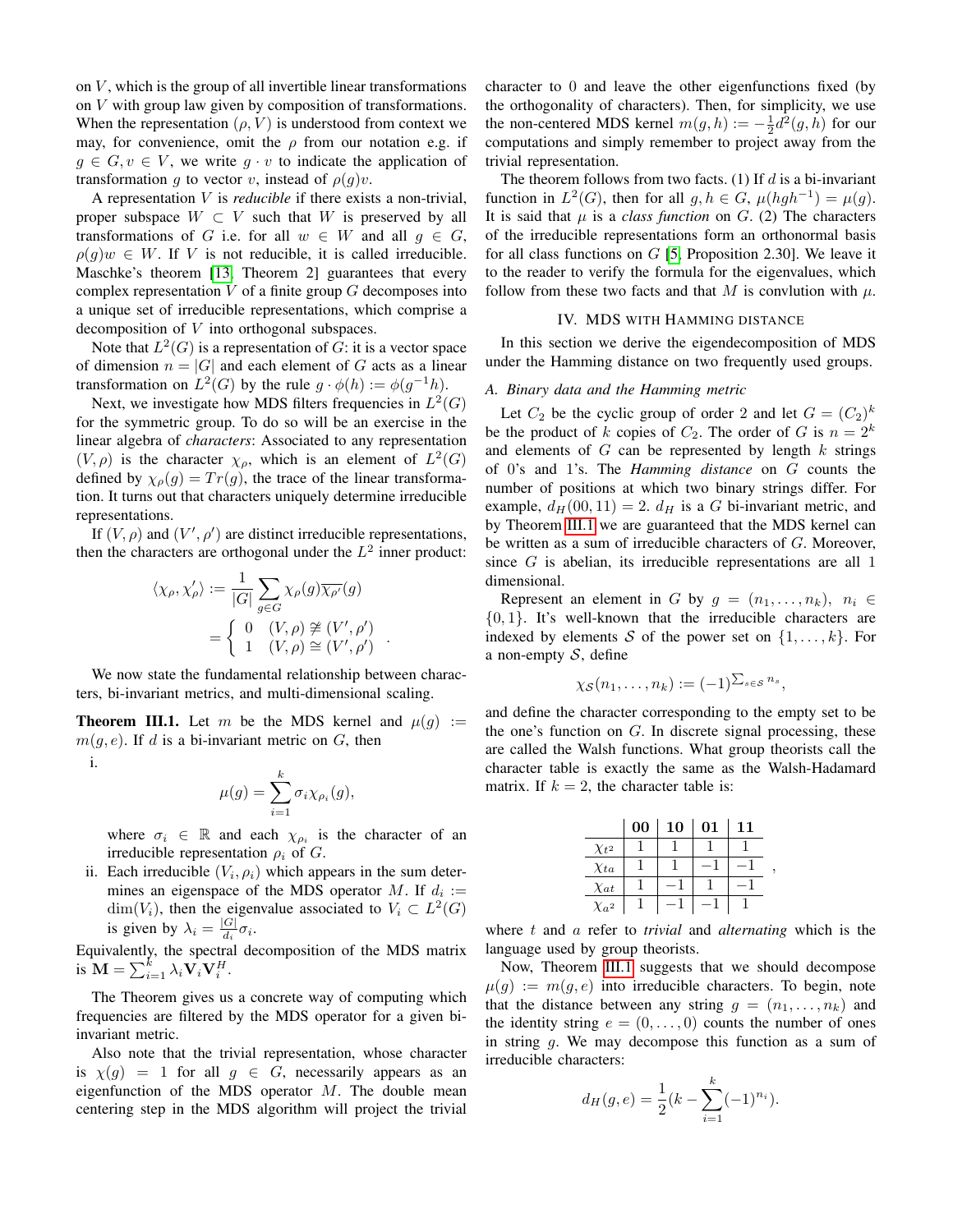on  $V$ , which is the group of all invertible linear transformations on V with group law given by composition of transformations. When the representation  $(\rho, V)$  is understood from context we may, for convenience, omit the  $\rho$  from our notation e.g. if  $g \in G, v \in V$ , we write  $g \cdot v$  to indicate the application of transformation g to vector v, instead of  $\rho(g)v$ .

A representation V is *reducible* if there exists a non-trivial, proper subspace  $W \subset V$  such that W is preserved by all transformations of G i.e. for all  $w \in W$  and all  $q \in G$ ,  $\rho(g)w \in W$ . If V is not reducible, it is called irreducible. Maschke's theorem [\[13,](#page-5-1) Theorem 2] guarantees that every complex representation  $V$  of a finite group  $G$  decomposes into a unique set of irreducible representations, which comprise a decomposition of V into orthogonal subspaces.

Note that  $L^2(G)$  is a representation of G: it is a vector space of dimension  $n = |G|$  and each element of G acts as a linear transformation on  $L^2(G)$  by the rule  $g \cdot \phi(h) := \phi(g^{-1}h)$ .

Next, we investigate how MDS filters frequencies in  $L^2(G)$ for the symmetric group. To do so will be an exercise in the linear algebra of *characters*: Associated to any representation  $(V, \rho)$  is the character  $\chi_{\rho}$ , which is an element of  $L^2(G)$ defined by  $\chi_{\rho}(g) = Tr(g)$ , the trace of the linear transformation. It turns out that characters uniquely determine irreducible representations.

If  $(V, \rho)$  and  $(V', \rho')$  are distinct irreducible representations, then the characters are orthogonal under the  $L^2$  inner product:

$$
\langle \chi_{\rho}, \chi_{\rho}' \rangle := \frac{1}{|G|} \sum_{g \in G} \chi_{\rho}(g) \overline{\chi_{\rho'}}(g)
$$

$$
= \begin{cases} 0 & (V, \rho) \not\cong (V', \rho') \\ 1 & (V, \rho) \cong (V', \rho') \end{cases}
$$

.

We now state the fundamental relationship between characters, bi-invariant metrics, and multi-dimensional scaling.

<span id="page-2-1"></span>**Theorem III.1.** Let m be the MDS kernel and  $\mu(q) :=$  $m(g, e)$ . If d is a bi-invariant metric on G, then

i.

$$
\mu(g) = \sum_{i=1}^k \sigma_i \chi_{\rho_i}(g),
$$

where  $\sigma_i \in \mathbb{R}$  and each  $\chi_{\rho_i}$  is the character of an irreducible representation  $\rho_i$  of G.

ii. Each irreducible  $(V_i, \rho_i)$  which appears in the sum determines an eigenspace of the MDS operator M. If  $d_i :=$  $\dim(V_i)$ , then the eigenvalue associated to  $V_i \subset L^2(G)$ is given by  $\lambda_i = \frac{|G|}{d_i}$  $\frac{G|}{d_i}\sigma_i.$ 

Equivalently, the spectral decomposition of the MDS matrix is  $\mathbf{M} = \sum_{i=1}^{k} \lambda_i \mathbf{V}_i \mathbf{V}_i^H$ .

The Theorem gives us a concrete way of computing which frequencies are filtered by the MDS operator for a given biinvariant metric.

Also note that the trivial representation, whose character is  $\chi(q) = 1$  for all  $q \in G$ , necessarily appears as an eigenfunction of the MDS operator  $M$ . The double mean centering step in the MDS algorithm will project the trivial character to 0 and leave the other eigenfunctions fixed (by the orthogonality of characters). Then, for simplicity, we use the non-centered MDS kernel  $m(g, h) := -\frac{1}{2}d^2(g, h)$  for our computations and simply remember to project away from the trivial representation.

The theorem follows from two facts. (1) If  $d$  is a bi-invariant function in  $L^2(G)$ , then for all  $g, h \in G$ ,  $\mu(hgh^{-1}) = \mu(g)$ . It is said that  $\mu$  is a *class function* on  $G$ . (2) The characters of the irreducible representations form an orthonormal basis for all class functions on  $G$  [\[5,](#page-4-9) Proposition 2.30]. We leave it to the reader to verify the formula for the eigenvalues, which follow from these two facts and that M is convlution with  $\mu$ .

#### IV. MDS WITH HAMMING DISTANCE

<span id="page-2-0"></span>In this section we derive the eigendecomposition of MDS under the Hamming distance on two frequently used groups.

## *A. Binary data and the Hamming metric*

Let  $C_2$  be the cyclic group of order 2 and let  $G = (C_2)^k$ be the product of k copies of  $C_2$ . The order of G is  $n = 2^k$ and elements of  $G$  can be represented by length  $k$  strings of 0's and 1's. The *Hamming distance* on G counts the number of positions at which two binary strings differ. For example,  $d_H(00, 11) = 2$ .  $d_H$  is a G bi-invariant metric, and by Theorem [III.1](#page-2-1) we are guaranteed that the MDS kernel can be written as a sum of irreducible characters of G. Moreover, since G is abelian, its irreducible representations are all 1 dimensional.

Represent an element in G by  $g = (n_1, \ldots, n_k), n_i \in$  $\{0, 1\}$ . It's well-known that the irreducible characters are indexed by elements S of the power set on  $\{1, \ldots, k\}$ . For a non-empty  $S$ , define

$$
\chi_{\mathcal S}(n_1,\dots,n_k):=(-1)^{\sum_{s\in{\mathcal S}}n_s},
$$

and define the character corresponding to the empty set to be the one's function on  $G$ . In discrete signal processing, these are called the Walsh functions. What group theorists call the character table is exactly the same as the Walsh-Hadamard matrix. If  $k = 2$ , the character table is:

|                           | 00 | 10 | 01 | 11 |
|---------------------------|----|----|----|----|
| $\chi_{t^2}$              |    |    |    |    |
| $\chi_{ta}$               |    |    |    |    |
| $\chi_{at}$               |    |    |    |    |
| $X_{\alpha}$ <sup>2</sup> |    |    |    |    |

,

where t and a refer to *trivial* and *alternating* which is the language used by group theorists.

Now, Theorem [III.1](#page-2-1) suggests that we should decompose  $\mu(g) := m(g, e)$  into irreducible characters. To begin, note that the distance between any string  $q = (n_1, \ldots, n_k)$  and the identity string  $e = (0, \ldots, 0)$  counts the number of ones in string g. We may decompose this function as a sum of irreducible characters:

$$
d_H(g,e) = \frac{1}{2}(k - \sum_{i=1}^{k} (-1)^{n_i}).
$$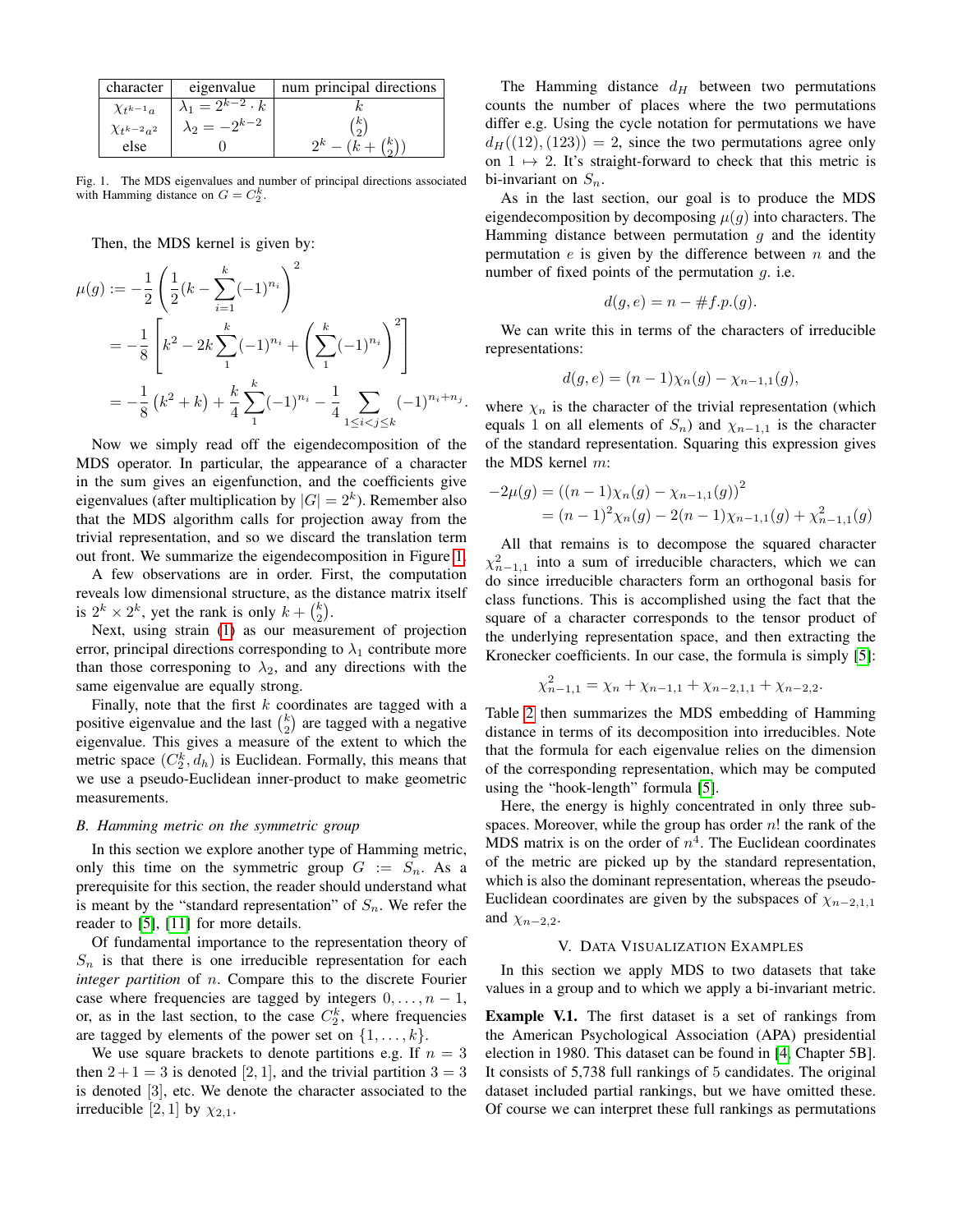| character           | eigenvalue                               | num principal directions |
|---------------------|------------------------------------------|--------------------------|
| $\chi_{t^{k-1}a}$   | $\lambda_1 = 2^{k-2} \cdot \overline{k}$ |                          |
| $\chi_{t^{k-2}a^2}$ | $\lambda_2 = -2^{k-2}$                   | $\kappa$<br>$\Omega$     |
| else                |                                          | $2^k$ .<br>(k)           |

<span id="page-3-1"></span>Fig. 1. The MDS eigenvalues and number of principal directions associated with Hamming distance on  $G = C_2^k$ .

Then, the MDS kernel is given by:

$$
\mu(g) := -\frac{1}{2} \left( \frac{1}{2} (k - \sum_{i=1}^k (-1)^{n_i} \right)^2
$$
  
=  $-\frac{1}{8} \left[ k^2 - 2k \sum_{1}^k (-1)^{n_i} + \left( \sum_{1}^k (-1)^{n_i} \right)^2 \right]$   
=  $-\frac{1}{8} (k^2 + k) + \frac{k}{4} \sum_{1}^k (-1)^{n_i} - \frac{1}{4} \sum_{1 \le i < j \le k} (-1)^{n_i + n_j}.$ 

Now we simply read off the eigendecomposition of the MDS operator. In particular, the appearance of a character in the sum gives an eigenfunction, and the coefficients give eigenvalues (after multiplication by  $|G| = 2<sup>k</sup>$ ). Remember also that the MDS algorithm calls for projection away from the trivial representation, and so we discard the translation term out front. We summarize the eigendecomposition in Figure [1.](#page-3-1)

A few observations are in order. First, the computation reveals low dimensional structure, as the distance matrix itself is  $2^k \times 2^k$ , yet the rank is only  $k + \binom{k}{2}$ .

Next, using strain [\(1\)](#page-1-1) as our measurement of projection error, principal directions corresponding to  $\lambda_1$  contribute more than those corresponing to  $\lambda_2$ , and any directions with the same eigenvalue are equally strong.

Finally, note that the first  $k$  coordinates are tagged with a positive eigenvalue and the last  $\binom{k}{2}$  are tagged with a negative eigenvalue. This gives a measure of the extent to which the metric space  $(C_2^k, d_h)$  is Euclidean. Formally, this means that we use a pseudo-Euclidean inner-product to make geometric measurements.

# *B. Hamming metric on the symmetric group*

In this section we explore another type of Hamming metric, only this time on the symmetric group  $G := S_n$ . As a prerequisite for this section, the reader should understand what is meant by the "standard representation" of  $S_n$ . We refer the reader to [\[5\]](#page-4-9), [\[11\]](#page-5-2) for more details.

Of fundamental importance to the representation theory of  $S_n$  is that there is one irreducible representation for each *integer partition* of n. Compare this to the discrete Fourier case where frequencies are tagged by integers  $0, \ldots, n - 1$ , or, as in the last section, to the case  $C_2^k$ , where frequencies are tagged by elements of the power set on  $\{1, \ldots, k\}$ .

We use square brackets to denote partitions e.g. If  $n = 3$ then  $2+1=3$  is denoted [2, 1], and the trivial partition  $3=3$ is denoted [3], etc. We denote the character associated to the irreducible [2, 1] by  $\chi_{2,1}$ .

The Hamming distance  $d_H$  between two permutations counts the number of places where the two permutations differ e.g. Using the cycle notation for permutations we have  $d_H((12),(123)) = 2$ , since the two permutations agree only on  $1 \mapsto 2$ . It's straight-forward to check that this metric is bi-invariant on  $S_n$ .

As in the last section, our goal is to produce the MDS eigendecomposition by decomposing  $\mu(q)$  into characters. The Hamming distance between permutation  $g$  and the identity permutation  $e$  is given by the difference between  $n$  and the number of fixed points of the permutation  $g$ . i.e.

$$
d(g, e) = n - \#f.p.(g).
$$

We can write this in terms of the characters of irreducible representations:

$$
d(g, e) = (n - 1)\chi_n(g) - \chi_{n-1,1}(g),
$$

where  $\chi_n$  is the character of the trivial representation (which equals 1 on all elements of  $S_n$ ) and  $\chi_{n-1,1}$  is the character of the standard representation. Squaring this expression gives the MDS kernel m:

$$
-2\mu(g) = ((n-1)\chi_n(g) - \chi_{n-1,1}(g))^2
$$
  
=  $(n-1)^2 \chi_n(g) - 2(n-1)\chi_{n-1,1}(g) + \chi_{n-1,1}^2(g)$ 

All that remains is to decompose the squared character  $\chi^2_{n-1,1}$  into a sum of irreducible characters, which we can do since irreducible characters form an orthogonal basis for class functions. This is accomplished using the fact that the square of a character corresponds to the tensor product of the underlying representation space, and then extracting the Kronecker coefficients. In our case, the formula is simply [\[5\]](#page-4-9):

$$
\chi_{n-1,1}^2 = \chi_n + \chi_{n-1,1} + \chi_{n-2,1,1} + \chi_{n-2,2}.
$$

Table [2](#page-4-10) then summarizes the MDS embedding of Hamming distance in terms of its decomposition into irreducibles. Note that the formula for each eigenvalue relies on the dimension of the corresponding representation, which may be computed using the "hook-length" formula [\[5\]](#page-4-9).

Here, the energy is highly concentrated in only three subspaces. Moreover, while the group has order  $n!$  the rank of the MDS matrix is on the order of  $n<sup>4</sup>$ . The Euclidean coordinates of the metric are picked up by the standard representation, which is also the dominant representation, whereas the pseudo-Euclidean coordinates are given by the subspaces of  $\chi_{n-2,1,1}$ and  $\chi_{n-2,2}$ .

# V. DATA VISUALIZATION EXAMPLES

<span id="page-3-0"></span>In this section we apply MDS to two datasets that take values in a group and to which we apply a bi-invariant metric.

Example V.1. The first dataset is a set of rankings from the American Psychological Association (APA) presidential election in 1980. This dataset can be found in [\[4,](#page-4-0) Chapter 5B]. It consists of 5,738 full rankings of 5 candidates. The original dataset included partial rankings, but we have omitted these. Of course we can interpret these full rankings as permutations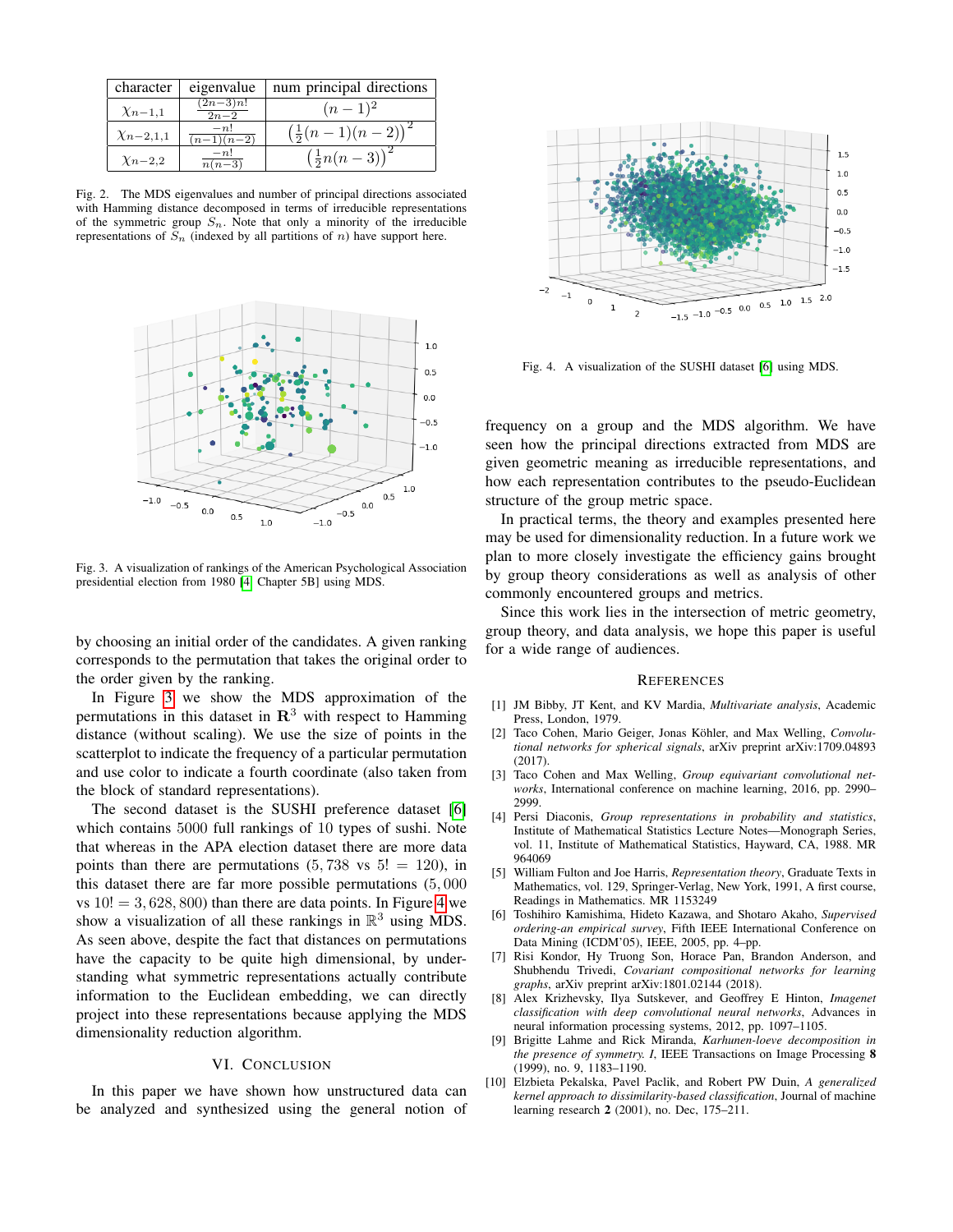| character        | eigenvalue                      | num principal directions               |
|------------------|---------------------------------|----------------------------------------|
| $\chi_{n-1,1}$   | $(2n-3)n!$<br>$\overline{2n-2}$ | $(n-1)^2$                              |
| $\chi_{n-2,1,1}$ | $-n!$<br>$(n-1)(n-2)$           | $\left(\frac{1}{2}(n-1)(n-2)\right)^2$ |
| $\chi_{n-2,2}$   | $-n!$<br>$n(n-3)$               | $(\frac{1}{2}n(n-3))$                  |

<span id="page-4-10"></span>Fig. 2. The MDS eigenvalues and number of principal directions associated with Hamming distance decomposed in terms of irreducible representations of the symmetric group  $S_n$ . Note that only a minority of the irreducible representations of  $S_n$  (indexed by all partitions of n) have support here.



<span id="page-4-11"></span>Fig. 3. A visualization of rankings of the American Psychological Association presidential election from 1980 [\[4,](#page-4-0) Chapter 5B] using MDS.

by choosing an initial order of the candidates. A given ranking corresponds to the permutation that takes the original order to the order given by the ranking.

In Figure [3](#page-4-11) we show the MDS approximation of the permutations in this dataset in  $\mathbb{R}^3$  with respect to Hamming distance (without scaling). We use the size of points in the scatterplot to indicate the frequency of a particular permutation and use color to indicate a fourth coordinate (also taken from the block of standard representations).

The second dataset is the SUSHI preference dataset [\[6\]](#page-4-12) which contains 5000 full rankings of 10 types of sushi. Note that whereas in the APA election dataset there are more data points than there are permutations  $(5, 738 \text{ vs } 5!) = 120$ , in this dataset there are far more possible permutations (5, 000 vs  $10! = 3,628,800$  than there are data points. In Figure [4](#page-4-13) we show a visualization of all these rankings in  $\mathbb{R}^3$  using MDS. As seen above, despite the fact that distances on permutations have the capacity to be quite high dimensional, by understanding what symmetric representations actually contribute information to the Euclidean embedding, we can directly project into these representations because applying the MDS dimensionality reduction algorithm.

## VI. CONCLUSION

<span id="page-4-6"></span>In this paper we have shown how unstructured data can be analyzed and synthesized using the general notion of



<span id="page-4-13"></span>Fig. 4. A visualization of the SUSHI dataset [\[6\]](#page-4-12) using MDS.

frequency on a group and the MDS algorithm. We have seen how the principal directions extracted from MDS are given geometric meaning as irreducible representations, and how each representation contributes to the pseudo-Euclidean structure of the group metric space.

In practical terms, the theory and examples presented here may be used for dimensionality reduction. In a future work we plan to more closely investigate the efficiency gains brought by group theory considerations as well as analysis of other commonly encountered groups and metrics.

Since this work lies in the intersection of metric geometry, group theory, and data analysis, we hope this paper is useful for a wide range of audiences.

#### **REFERENCES**

- <span id="page-4-7"></span>[1] JM Bibby, JT Kent, and KV Mardia, *Multivariate analysis*, Academic Press, London, 1979.
- <span id="page-4-2"></span>[2] Taco Cohen, Mario Geiger, Jonas Köhler, and Max Welling, Convolu*tional networks for spherical signals*, arXiv preprint arXiv:1709.04893 (2017).
- <span id="page-4-3"></span>[3] Taco Cohen and Max Welling, *Group equivariant convolutional networks*, International conference on machine learning, 2016, pp. 2990– 2999.
- <span id="page-4-0"></span>[4] Persi Diaconis, *Group representations in probability and statistics*, Institute of Mathematical Statistics Lecture Notes—Monograph Series, vol. 11, Institute of Mathematical Statistics, Hayward, CA, 1988. MR 964069
- <span id="page-4-9"></span>[5] William Fulton and Joe Harris, *Representation theory*, Graduate Texts in Mathematics, vol. 129, Springer-Verlag, New York, 1991, A first course, Readings in Mathematics. MR 1153249
- <span id="page-4-12"></span>[6] Toshihiro Kamishima, Hideto Kazawa, and Shotaro Akaho, *Supervised ordering-an empirical survey*, Fifth IEEE International Conference on Data Mining (ICDM'05), IEEE, 2005, pp. 4–pp.
- <span id="page-4-4"></span>[7] Risi Kondor, Hy Truong Son, Horace Pan, Brandon Anderson, and Shubhendu Trivedi, *Covariant compositional networks for learning graphs*, arXiv preprint arXiv:1801.02144 (2018).
- <span id="page-4-1"></span>[8] Alex Krizhevsky, Ilya Sutskever, and Geoffrey E Hinton, *Imagenet classification with deep convolutional neural networks*, Advances in neural information processing systems, 2012, pp. 1097–1105.
- <span id="page-4-5"></span>[9] Brigitte Lahme and Rick Miranda, *Karhunen-loeve decomposition in the presence of symmetry. I*, IEEE Transactions on Image Processing 8 (1999), no. 9, 1183–1190.
- <span id="page-4-8"></span>[10] Elzbieta Pekalska, Pavel Paclik, and Robert PW Duin, *A generalized kernel approach to dissimilarity-based classification*, Journal of machine learning research 2 (2001), no. Dec, 175–211.